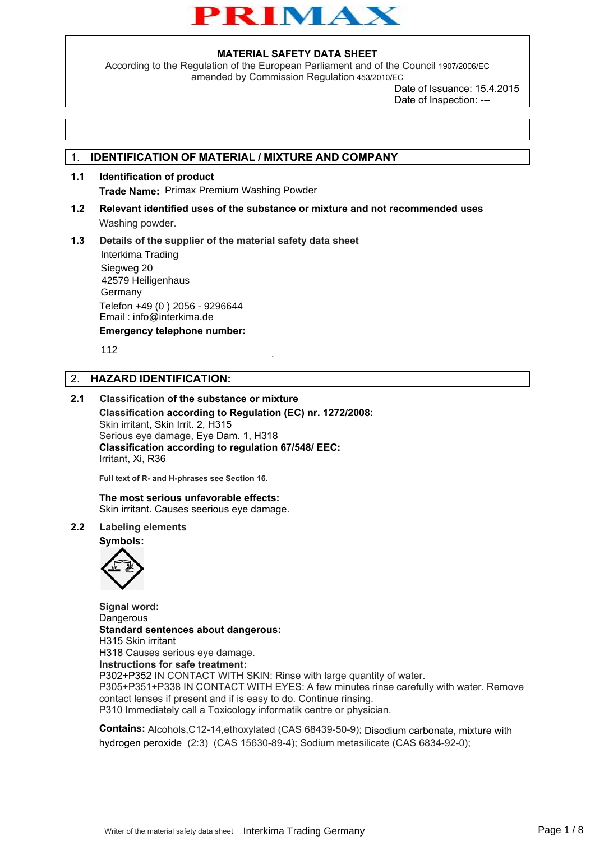

According to the Regulation of the European Parliament and of the Council 1907/2006/EC amended by Commission Regulation 453/2010/EC

> Date of Issuance: 15.4.2015 Date of Inspection: ---

## 1. **IDENTIFICATION OF MATERIAL / MIXTURE AND COMPANY**

- **1.1 Identification of product Trade Name:** Primax Premium Washing Powder
- **1.2 Relevant identified uses of the substance or mixture and not recommended uses**  Washing powder.

.

**1.3 Details of the supplier of the material safety data sheet Emergency telephone number:**  Interkima Trading Siegweg 20 42579 Heiligenhaus Germany Telefon +49 (0 ) 2056 - 9296644 Email : info@interkima.de

112

## 2. **HAZARD IDENTIFICATION:**

## **2.1 Classification of the substance or mixture**

**Classification according to Regulation (EC) nr. 1272/2008:**  Skin irritant, Skin Irrit. 2, H315 Serious eye damage, Eye Dam. 1, H318 **Classification according to regulation 67/548/ EEC:**  Irritant, Xi, R36

**Full text of R- and H-phrases see Section 16.**

**The most serious unfavorable effects:**  Skin irritant. Causes seerious eye damage.

#### **2.2 Labeling elements**

**Symbols:** 



**Signal word: Dangerous Standard sentences about dangerous:**  H315 Skin irritant H318 Causes serious eye damage. **Instructions for safe treatment:**  P302+P352 IN CONTACT WITH SKIN: Rinse with large quantity of water. P305+P351+P338 IN CONTACT WITH EYES: A few minutes rinse carefully with water. Remove contact lenses if present and if is easy to do. Continue rinsing. P310 Immediately call a Toxicology informatik centre or physician.

**Contains:** Alcohols,C12-14,ethoxylated (CAS 68439-50-9); Disodium carbonate, mixture with hydrogen peroxide (2:3) (CAS 15630-89-4); Sodium metasilicate (CAS 6834-92-0);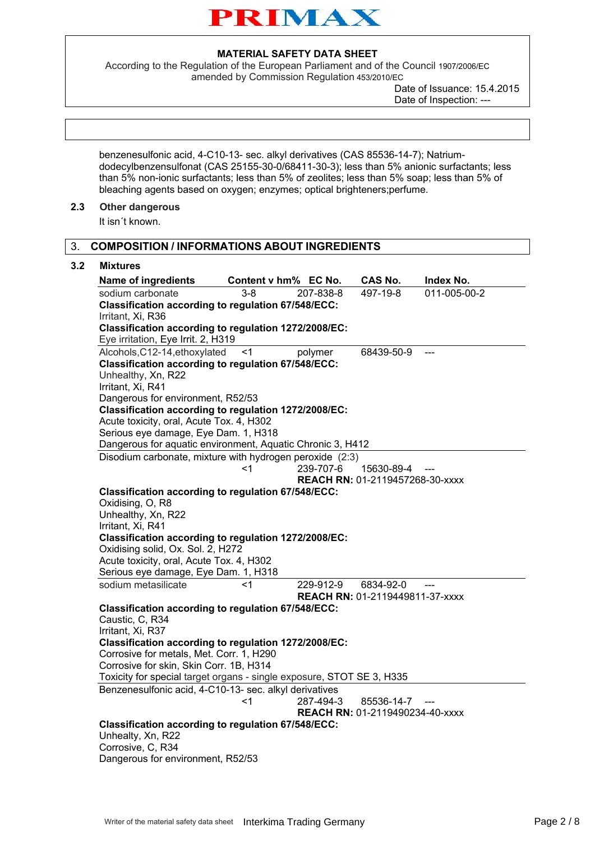

According to the Regulation of the European Parliament and of the Council 1907/2006/EC amended by Commission Regulation 453/2010/EC

Date of Issuance: 15.4.2015 Date of Inspection: ---

benzenesulfonic acid, 4-C10-13- sec. alkyl derivatives (CAS 85536-14-7); Natriumdodecylbenzensulfonat (CAS 25155-30-0/68411-30-3); less than 5% anionic surfactants; less than 5% non-ionic surfactants; less than 5% of zeolites; less than 5% soap; less than 5% of bleaching agents based on oxygen; enzymes; optical brighteners;perfume.

## **2.3 Other dangerous**

It isn´t known.

## 3. **COMPOSITION / INFORMATIONS ABOUT INGREDIENTS**

#### **3.2 Mixtures**

| <b>Name of ingredients</b>                                                                                             | Content v hm% EC No.                                                                                |           | CAS No.                         | Index No.    |  |
|------------------------------------------------------------------------------------------------------------------------|-----------------------------------------------------------------------------------------------------|-----------|---------------------------------|--------------|--|
| sodium carbonate                                                                                                       | $3 - 8$                                                                                             | 207-838-8 | 497-19-8                        | 011-005-00-2 |  |
| Classification according to regulation 67/548/ECC:                                                                     |                                                                                                     |           |                                 |              |  |
| Irritant, Xi, R36<br>Classification according to regulation 1272/2008/EC:                                              |                                                                                                     |           |                                 |              |  |
| Eye irritation, Eye Irrit. 2, H319                                                                                     |                                                                                                     |           |                                 |              |  |
| Alcohols, C12-14, ethoxylated                                                                                          | <1                                                                                                  | polymer   | 68439-50-9                      |              |  |
| <b>Classification according to regulation 67/548/ECC:</b>                                                              |                                                                                                     |           |                                 |              |  |
| Unhealthy, Xn, R22                                                                                                     |                                                                                                     |           |                                 |              |  |
| Irritant, Xi, R41                                                                                                      |                                                                                                     |           |                                 |              |  |
| Dangerous for environment, R52/53                                                                                      |                                                                                                     |           |                                 |              |  |
| Classification according to regulation 1272/2008/EC:                                                                   |                                                                                                     |           |                                 |              |  |
| Acute toxicity, oral, Acute Tox. 4, H302                                                                               |                                                                                                     |           |                                 |              |  |
| Serious eye damage, Eye Dam. 1, H318                                                                                   |                                                                                                     |           |                                 |              |  |
| Dangerous for aquatic environment, Aquatic Chronic 3, H412<br>Disodium carbonate, mixture with hydrogen peroxide (2:3) |                                                                                                     |           |                                 |              |  |
|                                                                                                                        | <1                                                                                                  | 239-707-6 | 15630-89-4                      |              |  |
|                                                                                                                        |                                                                                                     |           | REACH RN: 01-2119457268-30-xxxx |              |  |
| <b>Classification according to regulation 67/548/ECC:</b>                                                              |                                                                                                     |           |                                 |              |  |
| Oxidising, O, R8                                                                                                       |                                                                                                     |           |                                 |              |  |
| Unhealthy, Xn, R22                                                                                                     |                                                                                                     |           |                                 |              |  |
| Irritant, Xi, R41                                                                                                      |                                                                                                     |           |                                 |              |  |
| Classification according to regulation 1272/2008/EC:                                                                   |                                                                                                     |           |                                 |              |  |
| Oxidising solid, Ox. Sol. 2, H272                                                                                      |                                                                                                     |           |                                 |              |  |
| Acute toxicity, oral, Acute Tox. 4, H302<br>Serious eye damage, Eye Dam. 1, H318                                       |                                                                                                     |           |                                 |              |  |
| sodium metasilicate                                                                                                    | <1                                                                                                  | 229-912-9 | 6834-92-0                       |              |  |
|                                                                                                                        |                                                                                                     |           | REACH RN: 01-2119449811-37-xxxx |              |  |
| <b>Classification according to regulation 67/548/ECC:</b>                                                              |                                                                                                     |           |                                 |              |  |
| Caustic, C, R34                                                                                                        |                                                                                                     |           |                                 |              |  |
| Irritant, Xi, R37                                                                                                      |                                                                                                     |           |                                 |              |  |
| Classification according to regulation 1272/2008/EC:                                                                   |                                                                                                     |           |                                 |              |  |
| Corrosive for metals, Met. Corr. 1, H290                                                                               |                                                                                                     |           |                                 |              |  |
| Corrosive for skin, Skin Corr. 1B, H314<br>Toxicity for special target organs - single exposure, STOT SE 3, H335       |                                                                                                     |           |                                 |              |  |
| Benzenesulfonic acid, 4-C10-13- sec. alkyl derivatives                                                                 |                                                                                                     |           |                                 |              |  |
|                                                                                                                        | <1                                                                                                  | 287-494-3 | 85536-14-7                      | $---$        |  |
|                                                                                                                        |                                                                                                     |           |                                 |              |  |
|                                                                                                                        | <b>REACH RN: 01-2119490234-40-xxxx</b><br><b>Classification according to regulation 67/548/ECC:</b> |           |                                 |              |  |
| Unhealty, Xn, R22                                                                                                      |                                                                                                     |           |                                 |              |  |
| Corrosive, C, R34                                                                                                      |                                                                                                     |           |                                 |              |  |
| Dangerous for environment, R52/53                                                                                      |                                                                                                     |           |                                 |              |  |
|                                                                                                                        |                                                                                                     |           |                                 |              |  |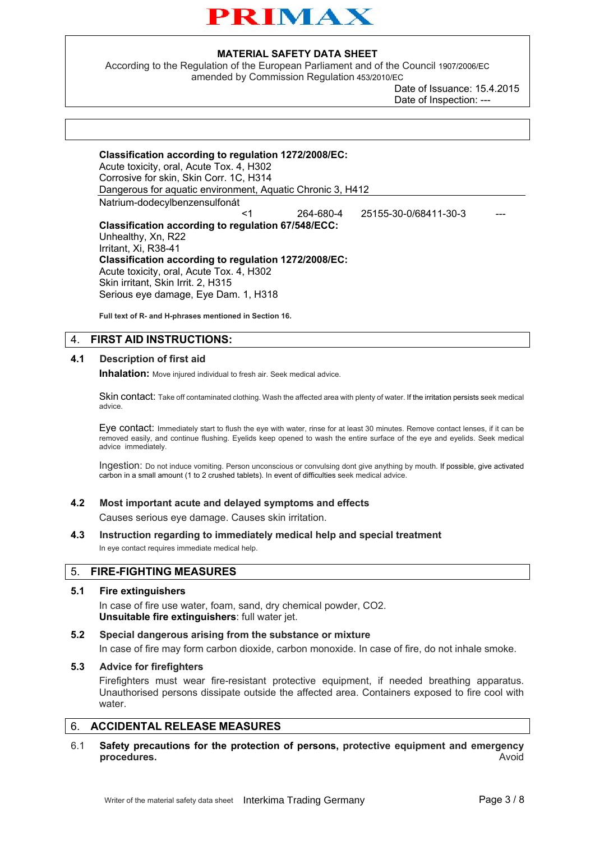

According to the Regulation of the European Parliament and of the Council 1907/2006/EC amended by Commission Regulation 453/2010/EC

> Date of Issuance: 15.4.2015 Date of Inspection: --

| Classification according to regulation 1272/2008/EC:<br>Acute toxicity, oral, Acute Tox. 4, H302<br>Corrosive for skin, Skin Corr. 1C, H314<br>Dangerous for aquatic environment, Aquatic Chronic 3, H412 |           |                       |  |  |
|-----------------------------------------------------------------------------------------------------------------------------------------------------------------------------------------------------------|-----------|-----------------------|--|--|
| Natrium-dodecylbenzensulfonát                                                                                                                                                                             |           |                       |  |  |
| <1                                                                                                                                                                                                        | 264-680-4 | 25155-30-0/68411-30-3 |  |  |
| <b>Classification according to regulation 67/548/ECC:</b>                                                                                                                                                 |           |                       |  |  |
| Unhealthy, Xn, R22                                                                                                                                                                                        |           |                       |  |  |
| Irritant, Xi, R38-41                                                                                                                                                                                      |           |                       |  |  |
| Classification according to regulation 1272/2008/EC:                                                                                                                                                      |           |                       |  |  |
| Acute toxicity, oral, Acute Tox. 4, H302                                                                                                                                                                  |           |                       |  |  |
| Skin irritant, Skin Irrit. 2, H315                                                                                                                                                                        |           |                       |  |  |
| Serious eye damage, Eye Dam. 1, H318                                                                                                                                                                      |           |                       |  |  |

**Full text of R- and H-phrases mentioned in Section 16.** 

## 4. **FIRST AID INSTRUCTIONS:**

#### **4.1 Description of first aid**

**Inhalation:** Move injured individual to fresh air. Seek medical advice.

Skin contact: Take off contaminated clothing. Wash the affected area with plenty of water. If the irritation persists seek medical advice.

Eye contact: Immediately start to flush the eye with water, rinse for at least 30 minutes. Remove contact lenses, if it can be removed easily, and continue flushing. Eyelids keep opened to wash the entire surface of the eye and eyelids. Seek medical advice immediately.

Ingestion: Do not induce vomiting. Person unconscious or convulsing dont give anything by mouth. If possible, give activated carbon in a small amount (1 to 2 crushed tablets). In event of difficulties seek medical advice.

#### **4.2 Most important acute and delayed symptoms and effects**

Causes serious eye damage. Causes skin irritation.

**4.3 Instruction regarding to immediately medical help and special treatment**

In eye contact requires immediate medical help.

#### 5. **FIRE-FIGHTING MEASURES**

#### **5.1 Fire extinguishers**

In case of fire use water, foam, sand, dry chemical powder, CO2. **Unsuitable fire extinguishers**: full water jet.

**5.2 Special dangerous arising from the substance or mixture** In case of fire may form carbon dioxide, carbon monoxide. In case of fire, do not inhale smoke.

### **5.3 Advice for firefighters**

Firefighters must wear fire-resistant protective equipment, if needed breathing apparatus. Unauthorised persons dissipate outside the affected area. Containers exposed to fire cool with water.

## 6. **ACCIDENTAL RELEASE MEASURES**

6.1 **Safety precautions for the protection of persons, protective equipment and emergency procedures.** Avoid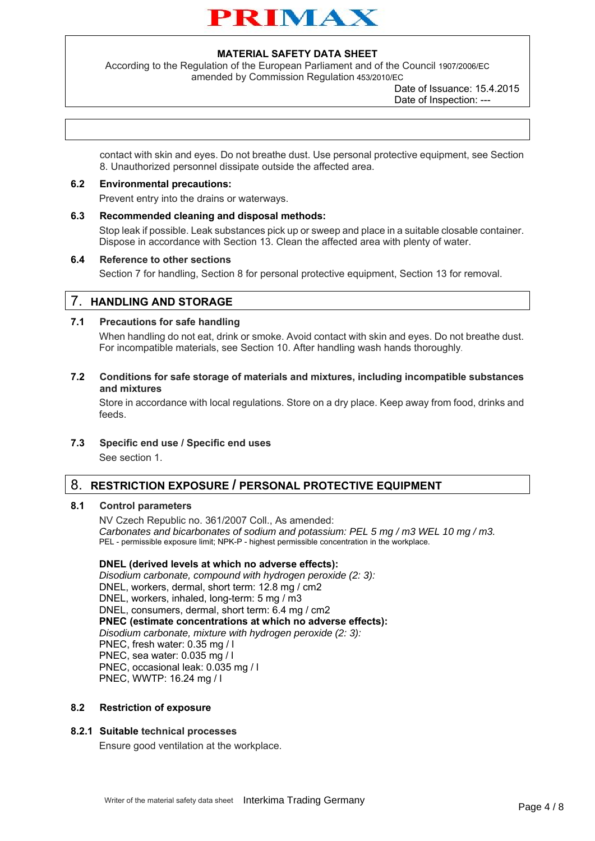

According to the Regulation of the European Parliament and of the Council 1907/2006/EC amended by Commission Regulation 453/2010/EC

> Date of Issuance: 15.4.2015 Date of Inspection: ---

contact with skin and eyes. Do not breathe dust. Use personal protective equipment, see Section 8. Unauthorized personnel dissipate outside the affected area.

### **6.2 Environmental precautions:**

Prevent entry into the drains or waterways.

**6.3 Recommended cleaning and disposal methods:** 

Stop leak if possible. Leak substances pick up or sweep and place in a suitable closable container. Dispose in accordance with Section 13. Clean the affected area with plenty of water.

#### **6.4 Reference to other sections**

Section 7 for handling, Section 8 for personal protective equipment, Section 13 for removal.

## 7. **HANDLING AND STORAGE**

#### **7.1 Precautions for safe handling**

When handling do not eat, drink or smoke. Avoid contact with skin and eyes. Do not breathe dust. For incompatible materials, see Section 10. After handling wash hands thoroughly.

**7.2 Conditions for safe storage of materials and mixtures, including incompatible substances and mixtures**

Store in accordance with local regulations. Store on a dry place. Keep away from food, drinks and feeds.

**7.3 Specific end use / Specific end uses**

See section 1.

## 8. **RESTRICTION EXPOSURE / PERSONAL PROTECTIVE EQUIPMENT**

#### **8.1 Control parameters**

NV Czech Republic no. 361/2007 Coll., As amended: *Carbonates and bicarbonates of sodium and potassium: PEL 5 mg / m3 WEL 10 mg / m3.* PEL - permissible exposure limit; NPK-P - highest permissible concentration in the workplace.

#### **DNEL (derived levels at which no adverse effects):**

*Disodium carbonate, compound with hydrogen peroxide (2: 3):*  DNEL, workers, dermal, short term: 12.8 mg / cm2 DNEL, workers, inhaled, long-term: 5 mg / m3 DNEL, consumers, dermal, short term: 6.4 mg / cm2 **PNEC (estimate concentrations at which no adverse effects):** *Disodium carbonate, mixture with hydrogen peroxide (2: 3):* PNEC, fresh water: 0.35 mg / l PNEC, sea water: 0.035 mg / l PNEC, occasional leak: 0.035 mg / l PNEC, WWTP: 16.24 mg / l

#### **8.2 Restriction of exposure**

#### **8.2.1 Suitable technical processes**

Ensure good ventilation at the workplace.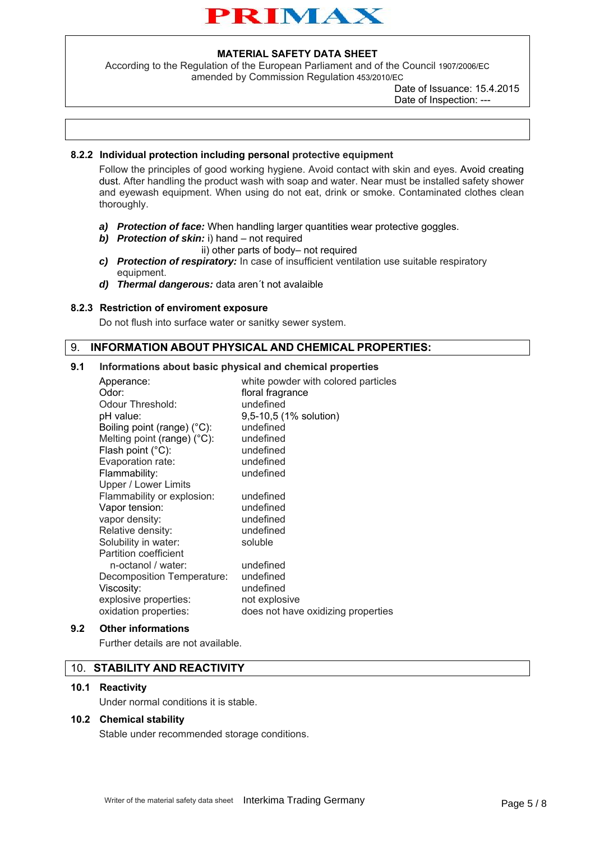

According to the Regulation of the European Parliament and of the Council 1907/2006/EC amended by Commission Regulation 453/2010/EC

> Date of Issuance: 15.4.2015 Date of Inspection: ---

## **8.2.2 Individual protection including personal protective equipment**

Follow the principles of good working hygiene. Avoid contact with skin and eyes. Avoid creating dust. After handling the product wash with soap and water. Near must be installed safety shower and eyewash equipment. When using do not eat, drink or smoke. Contaminated clothes clean thoroughly.

- *a) Protection of face:* When handling larger quantities wear protective goggles.
- *b) Protection of skin:* i) hand not required
	- ii) other parts of body– not required
- *c) Protection of respiratory:* In case of insufficient ventilation use suitable respiratory equipment.
- *d) Thermal dangerous:* data aren´t not avalaible

### **8.2.3 Restriction of enviroment exposure**

Do not flush into surface water or sanitky sewer system.

# 9. **INFORMATION ABOUT PHYSICAL AND CHEMICAL PROPERTIES:**

### **9.1 Informations about basic physical and chemical properties**

| Apperance:<br>Odor:<br>Odour Threshold:<br>pH value:<br>Boiling point (range) (°C):<br>Melting point (range) (°C):<br>Flash point (°C):<br>Evaporation rate:<br>Flammability: | white powder with colored particles<br>floral fragrance<br>undefined<br>9,5-10,5 (1% solution)<br>undefined<br>undefined<br>undefined<br>undefined<br>undefined |
|-------------------------------------------------------------------------------------------------------------------------------------------------------------------------------|-----------------------------------------------------------------------------------------------------------------------------------------------------------------|
| Upper / Lower Limits                                                                                                                                                          |                                                                                                                                                                 |
| Flammability or explosion:                                                                                                                                                    | undefined                                                                                                                                                       |
| Vapor tension:                                                                                                                                                                | undefined                                                                                                                                                       |
| vapor density:                                                                                                                                                                | undefined                                                                                                                                                       |
| Relative density:                                                                                                                                                             | undefined                                                                                                                                                       |
| Solubility in water:                                                                                                                                                          | soluble                                                                                                                                                         |
| <b>Partition coefficient</b>                                                                                                                                                  |                                                                                                                                                                 |
| n-octanol / water:                                                                                                                                                            | undefined                                                                                                                                                       |
| Decomposition Temperature:                                                                                                                                                    | undefined                                                                                                                                                       |
| Viscosity:                                                                                                                                                                    | undefined                                                                                                                                                       |
| explosive properties:                                                                                                                                                         | not explosive                                                                                                                                                   |
| oxidation properties:                                                                                                                                                         | does not have oxidizing properties                                                                                                                              |

### **9.2 Other informations**

Further details are not available.

## 10. **STABILITY AND REACTIVITY**

#### **10.1 Reactivity**

Under normal conditions it is stable.

## **10.2 Chemical stability**

Stable under recommended storage conditions.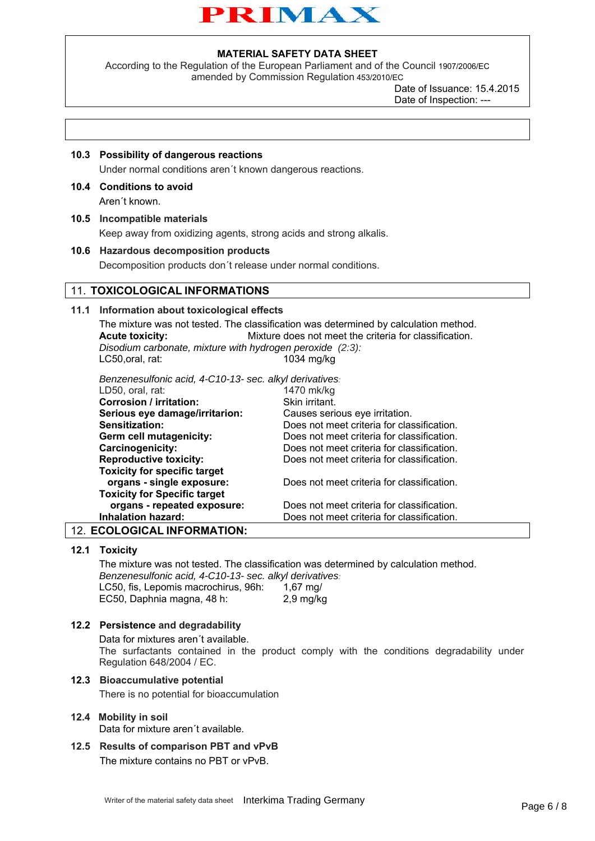

According to the Regulation of the European Parliament and of the Council 1907/2006/EC amended by Commission Regulation 453/2010/EC

> Date of Issuance: 15.4.2015 Date of Inspection: ---

### **10.3 Possibility of dangerous reactions**

Under normal conditions aren´t known dangerous reactions.

#### **10.4 Conditions to avoid**

Aren´t known.

#### **10.5 Incompatible materials**

Keep away from oxidizing agents, strong acids and strong alkalis.

#### **10.6 Hazardous decomposition products**

Decomposition products don´t release under normal conditions.

#### 11. **TOXICOLOGICAL INFORMATIONS**

### **11.1 Information about toxicological effects**

The mixture was not tested. The classification was determined by calculation method. **Acute toxicity:** Mixture does not meet the criteria for classification. *Disodium carbonate, mixture with hydrogen peroxide (2:3):* 

LC50,oral, rat: 1034 mg/kg

*Benzenesulfonic acid, 4-C10-13- sec. alkyl derivatives:* 

| LD50, oral, rat:                    | 1470 mk/kg                                 |
|-------------------------------------|--------------------------------------------|
| <b>Corrosion / irritation:</b>      | Skin irritant.                             |
| Serious eye damage/irritarion:      | Causes serious eye irritation.             |
| Sensitization:                      | Does not meet criteria for classification. |
| Germ cell mutagenicity:             | Does not meet criteria for classification. |
| Carcinogenicity:                    | Does not meet criteria for classification. |
| <b>Reproductive toxicity:</b>       | Does not meet criteria for classification. |
| <b>Toxicity for specific target</b> |                                            |
| organs - single exposure:           | Does not meet criteria for classification. |
| <b>Toxicity for Specific target</b> |                                            |
| organs - repeated exposure:         | Does not meet criteria for classification. |
| <b>Inhalation hazard:</b>           | Does not meet criteria for classification. |
| SAALAALA 41 INIFARMATIAN.           |                                            |

## 12. **ECOLOGICAL INFORMATION:**

#### **12.1 Toxicity**

The mixture was not tested. The classification was determined by calculation method. *Benzenesulfonic acid, 4-C10-13- sec. alkyl derivatives:*  LC50, fis, Lepomis macrochirus, 96h: 1,67 mg/ EC50, Daphnia magna, 48 h: 2,9 mg/kg

#### **12.2 Persistence and degradability**

Data for mixtures aren´t available. The surfactants contained in the product comply with the conditions degradability under Regulation 648/2004 / EC.

## **12.3 Bioaccumulative potential**

There is no potential for bioaccumulation

# **12.4 Mobility in soil**

Data for mixture aren´t available.

**12.5 Results of comparison PBT and vPvB** The mixture contains no PBT or vPvB.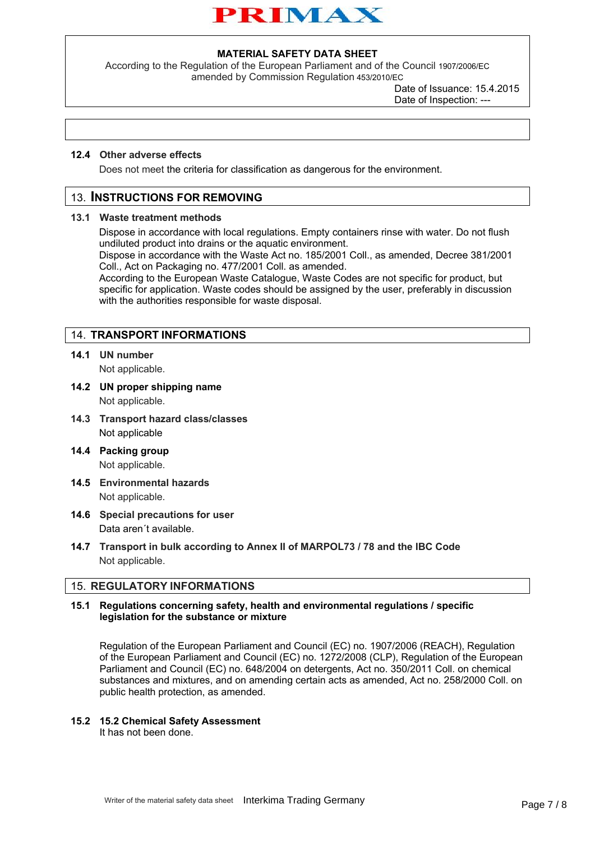

According to the Regulation of the European Parliament and of the Council 1907/2006/EC amended by Commission Regulation 453/2010/EC

> Date of Issuance: 15.4.2015 Date of Inspection: ---

#### **12.4 Other adverse effects**

Does not meet the criteria for classification as dangerous for the environment.

## 13. **INSTRUCTIONS FOR REMOVING**

#### **13.1 Waste treatment methods**

Dispose in accordance with local regulations. Empty containers rinse with water. Do not flush undiluted product into drains or the aquatic environment.

Dispose in accordance with the Waste Act no. 185/2001 Coll., as amended, Decree 381/2001 Coll., Act on Packaging no. 477/2001 Coll. as amended.

According to the European Waste Catalogue, Waste Codes are not specific for product, but specific for application. Waste codes should be assigned by the user, preferably in discussion with the authorities responsible for waste disposal.

## 14. **TRANSPORT INFORMATIONS**

- **14.1 UN number** Not applicable.
- **14.2 UN proper shipping name**

Not applicable.

- **14.3 Transport hazard class/classes**  Not applicable
- **14.4 Packing group**  Not applicable.
- **14.5 Environmental hazards** Not applicable.
- **14.6 Special precautions for user** Data aren´t available.
- **14.7 Transport in bulk according to Annex II of MARPOL73 / 78 and the IBC Code**  Not applicable.

## 15. **REGULATORY INFORMATIONS**

### **15.1 Regulations concerning safety, health and environmental regulations / specific legislation for the substance or mixture**

Regulation of the European Parliament and Council (EC) no. 1907/2006 (REACH), Regulation of the European Parliament and Council (EC) no. 1272/2008 (CLP), Regulation of the European Parliament and Council (EC) no. 648/2004 on detergents, Act no. 350/2011 Coll. on chemical substances and mixtures, and on amending certain acts as amended, Act no. 258/2000 Coll. on public health protection, as amended.

#### **15.2 15.2 Chemical Safety Assessment**

It has not been done.